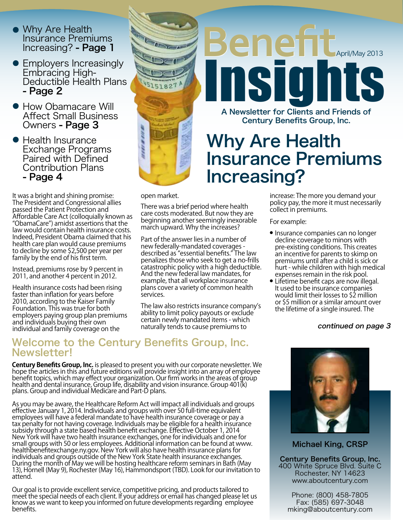- Why Are Health Insurance Premiums Increasing? - Page 1
- Employers Increasingly Embracing High-Deductible Health Plans - Page 2
- **How Obamacare Will** Affect Small Business Owners - Page 3
- Health Insurance Exchange Programs Paired with Defined Contribution Plans - Page 4

It was a bright and shining promise: The President and Congressional allies passed the Patient Protection and Affordable Care Act (colloquially known as "ObamaCare") amidst assertions that the law would contain health insurance costs. Indeed, President Obama claimed that his health care plan would cause premiums to decline by some \$2,500 per year per family by the end of his first term.

Instead, premiums rose by 9 percent in 2011, and another 4 percent in 2012.

Health insurance costs had been rising faster than inflation for years before 2010, according to the Kaiser Family Foundation. This was true for both employers paying group plan premiums and individuals buying their own individual and family coverage on the



A Newsletter for Clients and Friends of Century Benefits Group, Inc. Insights

Benefit

### Why Are Health Insurance Premiums Increasing?

open market.

There was a brief period where health care costs moderated. But now they are beginning another seemingly inexorable march upward. Why the increases?

Part of the answer lies in a number of new federally-mandated coverages described as "essential benefits." The law penalizes those who seek to get a no-frills catastrophic policy with a high deductible. And the new federal law mandates, for example, that all workplace insurance plans cover a variety of common health services.

The law also restricts insurance company's ability to limit policy payouts or exclude certain newly mandated items - which naturally tends to cause premiums to **continued on page 3** 

### Welcome to the Century Benefits Group, Inc. Newsletter!

**Century Benefits Group, Inc.** is pleased to present you with our corporate newsletter. We hope the articles in this and future editions will provide insight into an array of employee benefit topics, which may effect your organization. Our firm works in the areas of group health and dental insurance, Group life, disability and vision insurance. Group 401(k) plans. Group and individual Medicare and Part-D plans.

As you may be aware, the Healthcare Reform Act will impact all individuals and groups effective January 1, 2014. Individuals and groups with over 50 full-time equivalent employees will have a federal mandate to have health insurance coverage or pay a tax penalty for not having coverage. Individuals may be eligible for a health insurance subsidy through a state based health benefit exchange. Effective October 1, 2014 New York will have two health insurance exchanges, one for individuals and one for small groups with 50 or less employees. Additional information can be found at www. healthbenefitexchange.ny.gov. New York will also have health insurance plans for individuals and groups outside of the New York State health insurance exchanges. During the month of May we will be hosting healthcare reform seminars in Bath (May 13), Hornell (May 9), Rochester (May 16), Hammondsport (TBD). Look for our invitation to attend.

Our goal is to provide excellent service, competitive pricing, and products tailored to meet the special needs of each client. If your address or email has changed please let us know as we want to keep you informed on future developments regarding employee benefits.

increase: The more you demand your policy pay, the more it must necessarily collect in premiums.

For example:

- Insurance companies can no longer decline coverage to minors with pre-existing conditions. This creates an incentive for parents to skimp on premiums until after a child is sick or hurt - while children with high medical expenses remain in the risk pool.
- **•** Lifetime benefit caps are now illegal. It used to be insurance companies would limit their losses to \$2 million or \$5 million or a similar amount over the lifetime of a single insured. The



Michael King, CRSP

Century Benefits Group, Inc. 400 White Spruce Blvd. Suite C Rochester, NY 14623 www.aboutcentury.com

Phone: (800) 458-7805 Fax: (585) 697-3048 mking@aboutcentury.com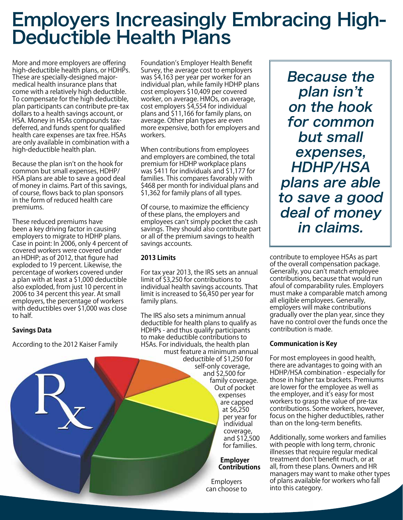# Employers Increasingly Embracing High-Deductible Health Plans

More and more employers are offering high-deductible health plans, or HDHPs. These are specially-designed majormedical health insurance plans that come with a relatively high deductible. To compensate for the high deductible, plan participants can contribute pre-tax dollars to a health savings account, or HSA. Money in HSAs compounds taxdeferred, and funds spent for qualified health care expenses are tax free. HSAs are only available in combination with a high-deductible health plan.

Because the plan isn't on the hook for common but small expenses, HDHP/ HSA plans are able to save a good deal of money in claims. Part of this savings, of course, flows back to plan sponsors in the form of reduced health care premiums.

These reduced premiums have been a key driving factor in causing employers to migrate to HDHP plans. Case in point: In 2006, only 4 percent of covered workers were covered under an HDHP; as of 2012, that figure had exploded to 19 percent. Likewise, the percentage of workers covered under a plan with at least a \$1,000 deductible also exploded, from just 10 percent in 2006 to 34 percent this year. At small employers, the percentage of workers with deductibles over \$1,000 was close to half.

#### **Savings Data**

According to the 2012 Kaiser Family

Foundation's Employer Health Benefit Survey, the average cost to employers was \$4,163 per year per worker for an individual plan, while family HDHP plans cost employers \$10,409 per covered worker, on average. HMOs, on average, cost employers \$4,554 for individual plans and \$11,166 for family plans, on average. Other plan types are even more expensive, both for employers and workers.

When contributions from employees and employers are combined, the total premium for HDHP workplace plans was \$411 for individuals and \$1,177 for families. This compares favorably with \$468 per month for individual plans and \$1,362 for family plans of all types.

Of course, to maximize the efficiency of these plans, the employers and employees can't simply pocket the cash savings. They should also contribute part or all of the premium savings to health savings accounts.

### **2013 Limits**

For tax year 2013, the IRS sets an annual limit of \$3,250 for contributions to individual health savings accounts. That limit is increased to \$6,450 per year for family plans.

The IRS also sets a minimum annual deductible for health plans to qualify as HDHPs - and thus qualify participants to make deductible contributions to HSAs. For individuals, the health plan must feature a minimum annual deductible of \$1,250 for self-only coverage, and \$2,500 for family coverage. Out of pocket expenses are capped at \$6,250 per year for individual coverage, and \$12,500 for families.

#### **Employer Contributions**

**Employers** can choose to

Because the plan isn't on the hook for common but small expenses, HDHP/HSA plans are able to save a good deal of money in claims.

contribute to employee HSAs as part of the overall compensation package. Generally, you can't match employee contributions, because that would run afoul of comparability rules. Employers must make a comparable match among all eligible employees. Generally, employers will make contributions gradually over the plan year, since they have no control over the funds once the contribution is made.

#### **Communication is Key**

For most employees in good health, there are advantages to going with an HDHP/HSA combination - especially for those in higher tax brackets. Premiums are lower for the employee as well as the employer, and it's easy for most workers to grasp the value of pre-tax contributions. Some workers, however, focus on the higher deductibles, rather than on the long-term benefits.

Additionally, some workers and families with people with long term, chronic illnesses that require regular medical treatment don't benefit much, or at all, from these plans. Owners and HR managers may want to make other types of plans available for workers who fall into this category.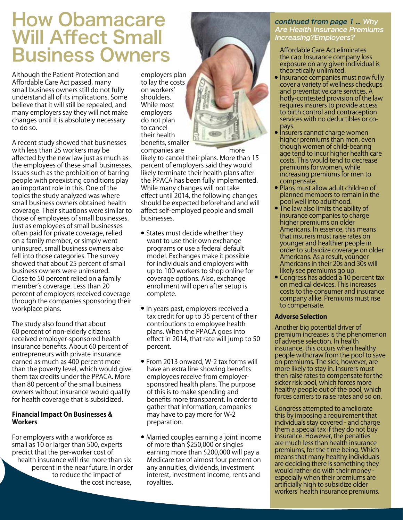### How Obamacare Will Affect Small **Business Owners** Affordable Care Act eliminates

Although the Patient Protection and Affordable Care Act passed, many small business owners still do not fully understand all of its implications. Some believe that it will still be repealed, and many employers say they will not make changes until it is absolutely necessary to do so.

A recent study showed that businesses with less than 25 workers may be affected by the new law just as much as the employees of these small businesses. Issues such as the prohibition of barring people with preexisting conditions play an important role in this. One of the topics the study analyzed was where small business owners obtained health coverage. Their situations were similar to those of employees of small businesses. Just as employees of small businesses often paid for private coverage, relied on a family member, or simply went uninsured, small business owners also fell into those categories. The survey showed that about 25 percent of small business owners were uninsured. Close to 50 percent relied on a family member's coverage. Less than 20 percent of employers received coverage through the companies sponsoring their workplace plans.

The study also found that about 60 percent of non-elderly citizens received employer-sponsored health insurance benefits. About 60 percent of entrepreneurs with private insurance earned as much as 400 percent more than the poverty level, which would give them tax credits under the PPACA. More than 80 percent of the small business owners without insurance would qualify for health coverage that is subsidized.

#### **Financial Impact On Businesses & Workers**

For employers with a workforce as small as 10 or larger than 500, experts predict that the per-worker cost of health insurance will rise more than six percent in the near future. In order to reduce the impact of the cost increase,

employers plan to lay the costs on workers' shoulders. While most employers do not plan to cancel their health benefits, smaller



companies are more likely to cancel their plans. More than 15 percent of employers said they would likely terminate their health plans after the PPACA has been fully implemented. While many changes will not take effect until 2014, the following changes should be expected beforehand and will affect self-employed people and small businesses.

- States must decide whether they want to use their own exchange programs or use a federal default model. Exchanges make it possible for individuals and employers with up to 100 workers to shop online for coverage options. Also, exchange enrollment will open after setup is complete.
- In years past, employers received a tax credit for up to 35 percent of their contributions to employee health plans. When the PPACA goes into effect in 2014, that rate will jump to 50 percent.
- From 2013 onward, W-2 tax forms will have an extra line showing benefits employees receive from employersponsored health plans. The purpose of this is to make spending and benefits more transparent. In order to gather that information, companies may have to pay more for W-2 preparation.
- Married couples earning a joint income of more than \$250,000 or singles earning more than \$200,000 will pay a Medicare tax of almost four percent on any annuities, dividends, investment interest, investment income, rents and royalties.

#### continued from page 1 ... Why Are Health Insurance Premiums Increasing?Employers?

the cap: Insurance company loss exposure on any given individual is theoretically unlimited.

- $\bullet$  Insurance companies must now fully cover a variety of wellness checkups and preventative care services. A hotly-contested provision of the law requires insurers to provide access to birth control and contraception services with no deductibles or copays.
- Insurers cannot charge women higher premiums than men, even though women of child-bearing age tend to incur higher health care costs. This would tend to decrease premiums for women, while increasing premiums for men to compensate.
- Plans must allow adult children of planned members to remain in the pool well into adulthood.
- The law also limits the ability of insurance companies to charge higher premiums on older Americans. In essence, this means that insurers must raise rates on younger and healthier people in order to subsidize coverage on older Americans. As a result, younger Americans in their 20s and 30s will likely see premiums go up.
- Congress has added a 10 percent tax on medical devices. This increases costs to the consumer and insurance company alike. Premiums must rise to compensate.

#### **Adverse Selection**

Another big potential driver of premium increases is the phenomenon of adverse selection. In health insurance, this occurs when healthy people withdraw from the pool to save on premiums. The sick, however, are more likely to stay in. Insurers must then raise rates to compensate for the sicker risk pool, which forces more healthy people out of the pool, which forces carriers to raise rates and so on.

Congress attempted to ameliorate this by imposing a requirement that individuals stay covered - and charge them a special tax if they do not buy insurance. However, the penalties are much less than health insurance premiums, for the time being. Which means that many healthy individuals are deciding there is something they would rather do with their money especially when their premiums are artificially high to subsidize older workers' health insurance premiums.